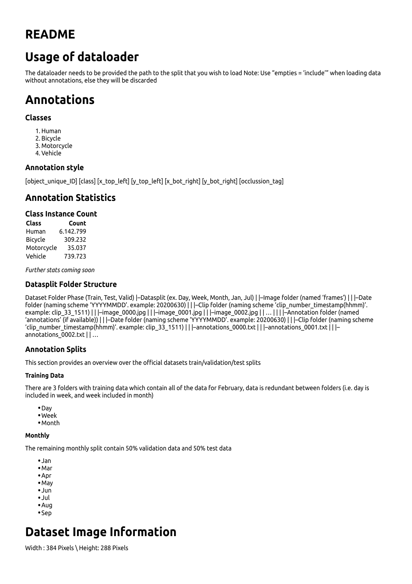## **README**

# **Usage of dataloader**

The dataloader needs to be provided the path to the split that you wish to load Note: Use "empties = 'include'" when loading data without annotations, else they will be discarded

# **Annotations**

#### **Classes**

- 1. Human
- 2. Bicycle
- 3. Motorcycle
- 4. Vehicle

#### **Annotation style**

[object\_unique\_ID] [class] [x\_top\_left] [y\_top\_left] [x\_bot\_right] [y\_bot\_right] [occlussion\_tag]

## **Annotation Statistics**

#### **Class Instance Count**

**Class Count** Human 6.142.799 Bicycle 309.232 Motorcycle 35.037 Vehicle 739.723

*Further stats coming soon*

#### **Datasplit Folder Structure**

Dataset Folder Phase (Train, Test, Valid) |–Datasplit (ex. Day, Week, Month, Jan, Jul) | |–Image folder (named 'frames') | | |–Date folder (naming scheme 'YYYYMMDD'. example: 20200630) | | |–Clip folder (naming scheme 'clip\_number\_timestamp(hhmm)'. example: clip\_33\_1511) | | |–image\_0000.jpg | | |–image\_0001.jpg | | |–image\_0002.jpg | | … || | |–Annotation folder (named 'annotations' (if available)) | | |–Date folder (naming scheme 'YYYYMMDD'. example: 20200630) | | |–Clip folder (naming scheme 'clip\_number\_timestamp(hhmm)'. example: clip\_33\_1511) | | |–annotations\_0000.txt | | |–annotations\_0001.txt | | |– annotations 0002.txt | | ...

#### **Annotation Splits**

This section provides an overview over the official datasets train/validation/test splits

#### **Training Data**

There are 3 folders with training data which contain all of the data for February, data is redundant between folders (i.e. day is included in week, and week included in month)

- Day
- Week
- Month

#### **Monthly**

The remaining monthly split contain 50% validation data and 50% test data

- Jan
- Mar
- Apr
- May
- Jun
- Jul
- Aug
- Sep

# **Dataset Image Information**

Width : 384 Pixels \ Height: 288 Pixels